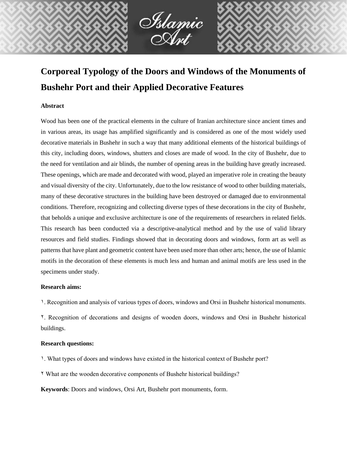

Oslamic<br>O Not

## **Abstract**

Wood has been one of the practical elements in the culture of Iranian architecture since ancient times and in various areas, its usage has amplified significantly and is considered as one of the most widely used decorative materials in Bushehr in such a way that many additional elements of the historical buildings of this city, including doors, windows, shutters and closes are made of wood. In the city of Bushehr, due to the need for ventilation and air blinds, the number of opening areas in the building have greatly increased. These openings, which are made and decorated with wood, played an imperative role in creating the beauty and visual diversity of the city. Unfortunately, due to the low resistance of wood to other building materials, many of these decorative structures in the building have been destroyed or damaged due to environmental conditions. Therefore, recognizing and collecting diverse types of these decorations in the city of Bushehr, that beholds a unique and exclusive architecture is one of the requirements of researchers in related fields. This research has been conducted via a descriptive-analytical method and by the use of valid library resources and field studies. Findings showed that in decorating doors and windows, form art as well as patterns that have plant and geometric content have been used more than other arts; hence, the use of Islamic motifs in the decoration of these elements is much less and human and animal motifs are less used in the specimens under study.

#### **Research aims:**

1. Recognition and analysis of various types of doors, windows and Orsi in Bushehr historical monuments.

2. Recognition of decorations and designs of wooden doors, windows and Orsi in Bushehr historical buildings.

# **Research questions:**

- 1. What types of doors and windows have existed in the historical context of Bushehr port?
- 2 What are the wooden decorative components of Bushehr historical buildings?

**Keywords**: Doors and windows, Orsi Art, Bushehr port monuments, form.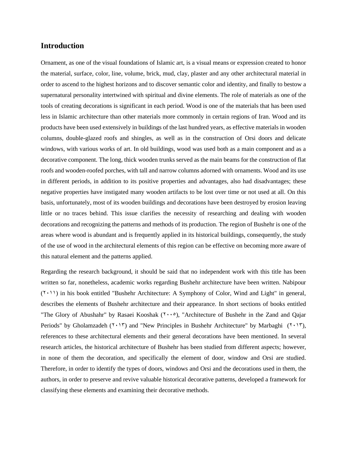# **Introduction**

Ornament, as one of the visual foundations of Islamic art, is a visual means or expression created to honor the material, surface, color, line, volume, brick, mud, clay, plaster and any other architectural material in order to ascend to the highest horizons and to discover semantic color and identity, and finally to bestow a supernatural personality intertwined with spiritual and divine elements. The role of materials as one of the tools of creating decorations is significant in each period. Wood is one of the materials that has been used less in Islamic architecture than other materials more commonly in certain regions of Iran. Wood and its products have been used extensively in buildings of the last hundred years, as effective materials in wooden columns, double-glazed roofs and shingles, as well as in the construction of Orsi doors and delicate windows, with various works of art. In old buildings, wood was used both as a main component and as a decorative component. The long, thick wooden trunks served as the main beams for the construction of flat roofs and wooden-roofed porches, with tall and narrow columns adorned with ornaments. Wood and its use in different periods, in addition to its positive properties and advantages, also had disadvantages; these negative properties have instigated many wooden artifacts to be lost over time or not used at all. On this basis, unfortunately, most of its wooden buildings and decorations have been destroyed by erosion leaving little or no traces behind. This issue clarifies the necessity of researching and dealing with wooden decorations and recognizing the patterns and methods of its production. The region of Bushehr is one of the areas where wood is abundant and is frequently applied in its historical buildings, consequently, the study of the use of wood in the architectural elements of this region can be effective on becoming more aware of this natural element and the patterns applied.

Regarding the research background, it should be said that no independent work with this title has been written so far, nonetheless, academic works regarding Bushehr architecture have been written. Nabipour  $(2 \cdot 1)$  in his book entitled "Bushehr Architecture: A Symphony of Color, Wind and Light" in general, describes the elements of Bushehr architecture and their appearance. In short sections of books entitled "The Glory of Abushahr" by Rasaei Kooshak (Y., o), "Architecture of Bushehr in the Zand and Qajar Periods" by Gholamzadeh ( $\gamma$ ,  $\gamma$ ) and "New Principles in Bushehr Architecture" by Marbaghi ( $\gamma$ ,  $\gamma$ ), references to these architectural elements and their general decorations have been mentioned. In several research articles, the historical architecture of Bushehr has been studied from different aspects; however, in none of them the decoration, and specifically the element of door, window and Orsi are studied. Therefore, in order to identify the types of doors, windows and Orsi and the decorations used in them, the authors, in order to preserve and revive valuable historical decorative patterns, developed a framework for classifying these elements and examining their decorative methods.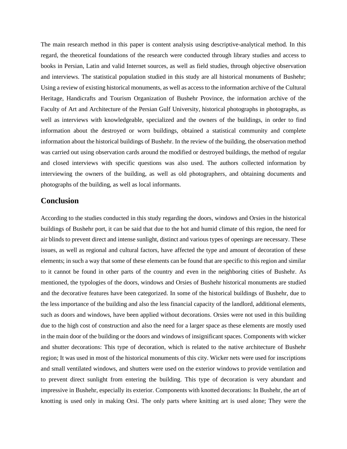The main research method in this paper is content analysis using descriptive-analytical method. In this regard, the theoretical foundations of the research were conducted through library studies and access to books in Persian, Latin and valid Internet sources, as well as field studies, through objective observation and interviews. The statistical population studied in this study are all historical monuments of Bushehr; Using a review of existing historical monuments, as well as access to the information archive of the Cultural Heritage, Handicrafts and Tourism Organization of Bushehr Province, the information archive of the Faculty of Art and Architecture of the Persian Gulf University, historical photographs in photographs, as well as interviews with knowledgeable, specialized and the owners of the buildings, in order to find information about the destroyed or worn buildings, obtained a statistical community and complete information about the historical buildings of Bushehr. In the review of the building, the observation method was carried out using observation cards around the modified or destroyed buildings, the method of regular and closed interviews with specific questions was also used. The authors collected information by interviewing the owners of the building, as well as old photographers, and obtaining documents and photographs of the building, as well as local informants.

# **Conclusion**

According to the studies conducted in this study regarding the doors, windows and Orsies in the historical buildings of Bushehr port, it can be said that due to the hot and humid climate of this region, the need for air blinds to prevent direct and intense sunlight, distinct and various types of openings are necessary. These issues, as well as regional and cultural factors, have affected the type and amount of decoration of these elements; in such a way that some of these elements can be found that are specific to this region and similar to it cannot be found in other parts of the country and even in the neighboring cities of Bushehr. As mentioned, the typologies of the doors, windows and Orsies of Bushehr historical monuments are studied and the decorative features have been categorized. In some of the historical buildings of Bushehr, due to the less importance of the building and also the less financial capacity of the landlord, additional elements, such as doors and windows, have been applied without decorations. Orsies were not used in this building due to the high cost of construction and also the need for a larger space as these elements are mostly used in the main door of the building or the doors and windows of insignificant spaces. Components with wicker and shutter decorations: This type of decoration, which is related to the native architecture of Bushehr region; It was used in most of the historical monuments of this city. Wicker nets were used for inscriptions and small ventilated windows, and shutters were used on the exterior windows to provide ventilation and to prevent direct sunlight from entering the building. This type of decoration is very abundant and impressive in Bushehr, especially its exterior. Components with knotted decorations: In Bushehr, the art of knotting is used only in making Orsi. The only parts where knitting art is used alone; They were the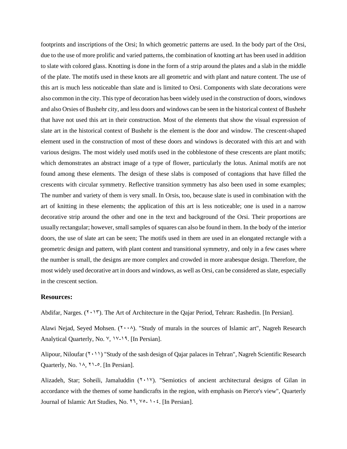footprints and inscriptions of the Orsi; In which geometric patterns are used. In the body part of the Orsi, due to the use of more prolific and varied patterns, the combination of knotting art has been used in addition to slate with colored glass. Knotting is done in the form of a strip around the plates and a slab in the middle of the plate. The motifs used in these knots are all geometric and with plant and nature content. The use of this art is much less noticeable than slate and is limited to Orsi. Components with slate decorations were also common in the city. This type of decoration has been widely used in the construction of doors, windows and also Orsies of Bushehr city, and less doors and windows can be seen in the historical context of Bushehr that have not used this art in their construction. Most of the elements that show the visual expression of slate art in the historical context of Bushehr is the element is the door and window. The crescent-shaped element used in the construction of most of these doors and windows is decorated with this art and with various designs. The most widely used motifs used in the cobblestone of these crescents are plant motifs; which demonstrates an abstract image of a type of flower, particularly the lotus. Animal motifs are not found among these elements. The design of these slabs is composed of contagions that have filled the crescents with circular symmetry. Reflective transition symmetry has also been used in some examples; The number and variety of them is very small. In Orsis, too, because slate is used in combination with the art of knitting in these elements; the application of this art is less noticeable; one is used in a narrow decorative strip around the other and one in the text and background of the Orsi. Their proportions are usually rectangular; however, small samples of squares can also be found in them. In the body of the interior doors, the use of slate art can be seen; The motifs used in them are used in an elongated rectangle with a geometric design and pattern, with plant content and transitional symmetry, and only in a few cases where the number is small, the designs are more complex and crowded in more arabesque design. Therefore, the most widely used decorative art in doors and windows, as well as Orsi, can be considered as slate, especially in the crescent section.

## **Resources:**

Abdifar, Narges.  $(1 \cdot 1)$ . The Art of Architecture in the Qajar Period, Tehran: Rashedin. [In Persian].

Alawi Nejad, Seyed Mohsen.  $(Y \cdot \lambda)$ . "Study of murals in the sources of Islamic art", Nagreh Research Analytical Quarterly, No.  $\vee$ ,  $\vee$ - $\vee$ 9. [In Persian].

Alipour, Niloufar  $(2 \cdot 1)$  "Study of the sash design of Qajar palaces in Tehran", Nagreh Scientific Research Quarterly, No.  $14, 71-$ °. [In Persian].

Alizadeh, Star; Soheili, Jamaluddin (Y . 1 Y). "Semiotics of ancient architectural designs of Gilan in accordance with the themes of some handicrafts in the region, with emphasis on Pierce's view", Quarterly Journal of Islamic Art Studies, No. 11, Yo<sub>-</sub> 1 . 2. [In Persian].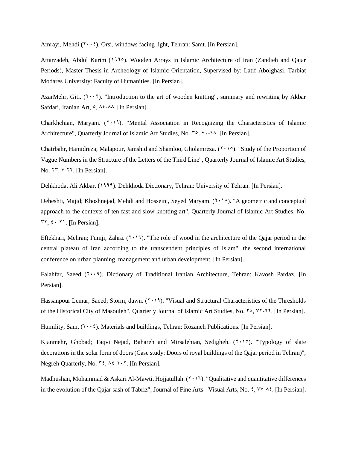Amrayi, Mehdi  $(1 \cdot \cdot i)$ . Orsi, windows facing light, Tehran: Samt. [In Persian].

Attarzadeh, Abdul Karim (1990). Wooden Arrays in Islamic Architecture of Iran (Zandieh and Qajar Periods), Master Thesis in Archeology of Islamic Orientation, Supervised by: Latif Abolghasi, Tarbiat Modares University: Faculty of Humanities. [In Persian].

AzarMehr, Giti.  $(1 \cdot \cdot 1)$ . "Introduction to the art of wooden knitting", summary and rewriting by Akbar Safdari, Iranian Art,  $\circ$ ,  $\wedge \circ$ - $\wedge \wedge$ . [In Persian].

Charkhchian, Maryam.  $(Y \cdot Y)$ . "Mental Association in Recognizing the Characteristics of Islamic Architecture", Quarterly Journal of Islamic Art Studies, No.  $\mathbb{R}^{\circ}$ ,  $\mathbb{R}^{\circ}$ -98. [In Persian].

Chatrbahr, Hamidreza; Malapour, Jamshid and Shamloo, Gholamreza.  $(1 \cdot 9)$ . "Study of the Proportion of Vague Numbers in the Structure of the Letters of the Third Line", Quarterly Journal of Islamic Art Studies, No. 17, V-11. [In Persian].

Dehkhoda, Ali Akbar. (1999). Dehkhoda Dictionary, Tehran: University of Tehran. [In Persian].

Deheshti, Majid; Khoshnejad, Mehdi and Hosseini, Seyed Maryam.  $(1, 1)$ . "A geometric and conceptual approach to the contexts of ten fast and slow knotting art". Quarterly Journal of Islamic Art Studies, No.  $54, 40-71$ . [In Persian].

Eftekhari, Mehran; Fumji, Zahra.  $(2.17)$ . "The role of wood in the architecture of the Qajar period in the central plateau of Iran according to the transcendent principles of Islam", the second international conference on urban planning, management and urban development. [In Persian].

Falahfar, Saeed ( $\zeta \cdot \zeta$ ). Dictionary of Traditional Iranian Architecture, Tehran: Kavosh Pardaz. [In Persian].

Hassanpour Lemar, Saeed; Storm, dawn. (7,19). "Visual and Structural Characteristics of the Thresholds of the Historical City of Masouleh", Quarterly Journal of Islamic Art Studies, No.  $\tilde{r}$ ,  $\gamma$ 7-97. [In Persian].

Humility, Sam.  $(Y \cdot Y)$ . Materials and buildings, Tehran: Rozaneh Publications. [In Persian].

Kianmehr, Ghobad; Taqvi Nejad, Bahareh and Mirsalehian, Sedigheh. (7,10). "Typology of slate decorations in the solar form of doors (Case study: Doors of royal buildings of the Qajar period in Tehran)", Negreh Quarterly, No.  $\mathbf{r} \xi$ ,  $\lambda \xi$ -1.7. [In Persian].

Madhushan, Mohammad & Askari Al-Mawti, Hojjatullah.  $(2.11)$ . "Qualitative and quantitative differences" in the evolution of the Qajar sash of Tabriz", Journal of Fine Arts - Visual Arts, No.  $\zeta$ ,  $\forall y$ - $\land \zeta$ . [In Persian].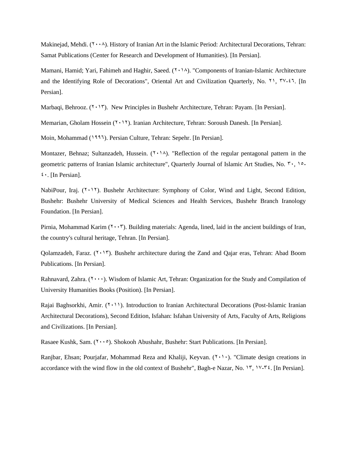Makinejad, Mehdi.  $(Y \cdot \lambda)$ . History of Iranian Art in the Islamic Period: Architectural Decorations, Tehran: Samat Publications (Center for Research and Development of Humanities). [In Persian].

Mamani, Hamid; Yari, Fahimeh and Haghir, Saeed.  $(2.14)$ . "Components of Iranian-Islamic Architecture and the Identifying Role of Decorations", Oriental Art and Civilization Quarterly, No. 11,  $\forall v$ -17. [In Persian].

Marbaqi, Behrooz.  $(7 \cdot 17)$ . New Principles in Bushehr Architecture, Tehran: Payam. [In Persian].

Memarian, Gholam Hossein (Y. 17). Iranian Architecture, Tehran: Soroush Danesh. [In Persian].

Moin, Mohammad (1995). Persian Culture, Tehran: Sepehr. [In Persian].

Montazer, Behnaz; Sultanzadeh, Hussein.  $(1, 1)$ . "Reflection of the regular pentagonal pattern in the geometric patterns of Iranian Islamic architecture", Quarterly Journal of Islamic Art Studies, No. "., 10- $\mathfrak{t}$ . [In Persian].

NabiPour, Iraj.  $(2.17)$ . Bushehr Architecture: Symphony of Color, Wind and Light, Second Edition, Bushehr: Bushehr University of Medical Sciences and Health Services, Bushehr Branch Iranology Foundation. [In Persian].

Pirnia, Mohammad Karim  $(1 \cdot \cdot \cdot)$ . Building materials: Agenda, lined, laid in the ancient buildings of Iran, the country's cultural heritage, Tehran. [In Persian].

Qolamzadeh, Faraz.  $(\Upsilon \cdot \Upsilon)$ . Bushehr architecture during the Zand and Qajar eras, Tehran: Abad Boom Publications. [In Persian].

Rahnavard, Zahra.  $(1 \cdots)$ . Wisdom of Islamic Art, Tehran: Organization for the Study and Compilation of University Humanities Books (Position). [In Persian].

Rajai Baghsorkhi, Amir.  $(2 \cdot 1)$ . Introduction to Iranian Architectural Decorations (Post-Islamic Iranian Architectural Decorations), Second Edition, Isfahan: Isfahan University of Arts, Faculty of Arts, Religions and Civilizations. [In Persian].

Rasaee Kushk, Sam. (7000). Shokooh Abushahr, Bushehr: Start Publications. [In Persian].

Ranjbar, Ehsan; Pourjafar, Mohammad Reza and Khaliji, Keyvan.  $(1 \cdot) \cdot$ ). "Climate design creations in accordance with the wind flow in the old context of Bushehr", Bagh-e Nazar, No.  $Y, Y'Y'Y$ ; [In Persian].